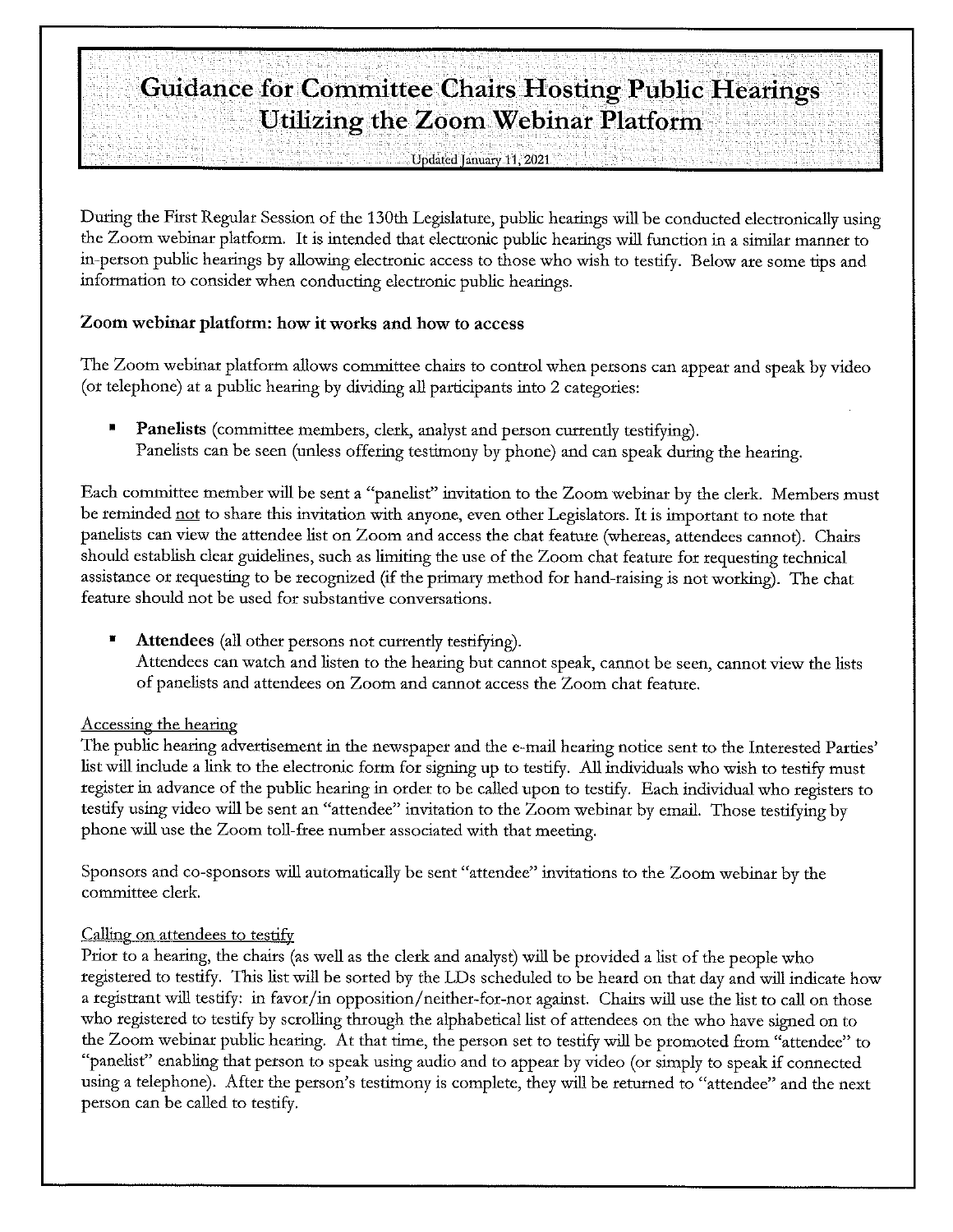# **Guidance for Committee Chairs Hosting Public Hearings Utilizing the Zoom Webinar Platform**

**Undated January 11, 2021** 

During the First Regular Session of the 130th Legislature, public hearings will be conducted electronically using the Zoom webinar platform. It is intended that electronic public hearings will function in a similar manner to in-person public hearings by allowing electronic access to those who wish to testify. Below are some tips and information to consider when conducting electronic public hearings.

#### **Zoom webinar platform: how it works and how to access**

The Zoom webinar platform allows committee chairs to control when persons can appear and speak by video (or telephone) at a public hearing by dividing all participants into 2 categories:

Panelists (committee members, clerk, analyst and person currently testifying). Panelists can be seen (unless offering testimony by phone) and can speak during the hearing.

Each committee member will be sent a "panelist" invitation to the Zoom webinar by the clerk. Members must be reminded not to share this invitation with anyone, even other Legislators. It is important to note that panelists can view the attendee list on Zoom and access the chat feature (whereas, attendees cannot). Chairs should establish clear guidelines, such as limiting the use of the Zoom chat feature for requesting technical assistance or requesting to be recognized (if the primary method for hand-raising is not working). The chat feature should not be used for substantive conversations.

• **Attendees** (all other persons not currently testifying). Attendees can watch and listen to the hearing but cannot speak, cannot be seen, cannot view the lists of panelists and attendees on Zoom and cannot access the Zoom chat feature.

#### Accessing the hearing

The public hearing advertisement in the newspaper and the e-mail hearing notice sent to the Interested Parties' list will include a link to the electronic form for signing up to testify. All individuals who wish to testify must register in advance of the public hearing in order to be called upon to testify. Each individual who registers to testify using video will be sent an "attendee" invitation to the Zoom webinar by email. Those testifying by phone will use the Zoom toll-free number associated with that meeting.

Sponsors and co-sponsors will automatically be sent "attendee" invitations to the Zoom webinar by the committee clerk.

#### Calling on attendees to testify

Prior to a hearing, the chairs (as well as the clerk and analyst) will be provided a list of the people who registered to testify. This list will be sorted by the LDs scheduled to be heard on that day and will indicate how a registrant will testify: in favor/in opposition/neither-for-nor against. Chairs will use the list to call on those who registered to testify by scrolling through the alphabetical list of attendees on the who have signed on to the Zoom webinar public hearing. At that time, the person set to testify will be promoted from "attendee" to "panelist" enabling that person to speak using audio and to appear by video (or simply to speak if connected using a telephone). After the person's testimony is complete, they will be returned to "attendee" and the next person can be called to testify.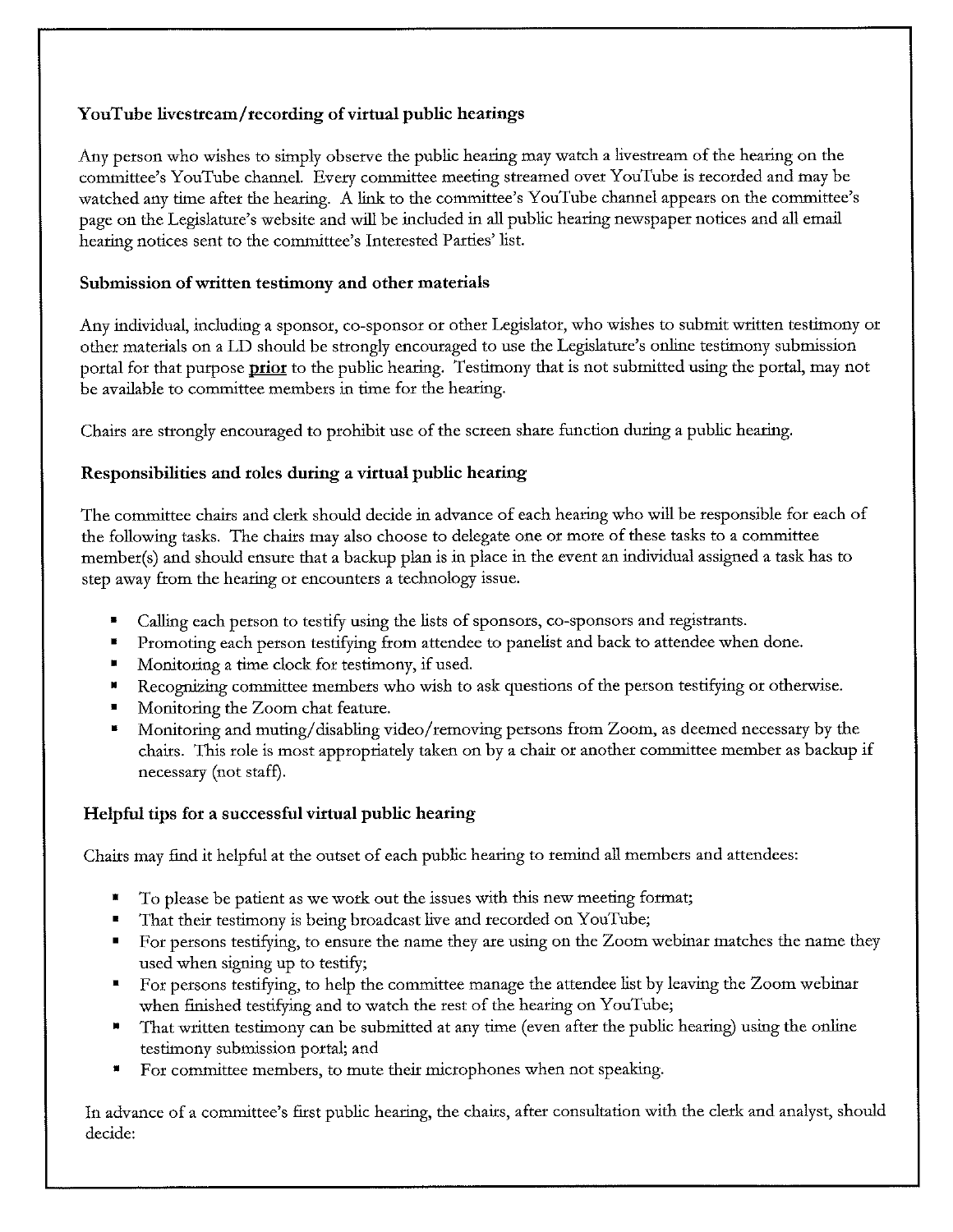### **Y ouTube livestream/ recording of virtual public hearings**

Any person who wishes to simply observe the public hearing may watch a livestream of the hearing on the committee's You Tube channel. Every committee meeting streamed over YouTube is recorded and may be watched any time after the hearing. A link to the committee's YouTube channel appears on the committee's page on the Legislature's website and will be included in all public hearing newspaper notices and all email hearing notices sent to the committee's Interested Parties' list.

#### **Submission of written testimony and other materials**

Any individual, including a sponsor, co-sponsor or other Legislator, who wishes to submit written testimony or other materials on a LD should be strongly encouraged to use the Legislature's online testimony submission portal for that purpose **prior** to the public hearing. Testimony that is not submitted using the portal, may not be available to committee members in time for the hearing.

Chairs are strongly encouraged to prohibit use of the screen share function during a public hearing.

## **Responsibilities and roles during a virtual public hearing**

The committee chairs and clerk should decide in advance of each hearing who will be responsible for each of the following tasks. The chairs may also choose to delegate one or more of these tasks to a committee member(s) and should ensure that a backup plan is in place in the event an individual assigned a task has to step away from the hearing or encounters a technology issue.

- Calling each person to testify using the lists of sponsors, co-sponsors and registrants.
- Promoting each person testifying from attendee to panelist and back to attendee when done.
- Monitoring a time clock for testimony, if used.
- Recognizing committee members who wish to ask questions of the person testifying or otherwise.
- Monitoring the Zoom chat feature.
- Monitoring and muting/ disabling video/ removing persons from Zoom, as deemed necessary by the chairs. This role is most appropriately taken on by a chair or another committee member as backup if necessary (not staff).

# **Helpful tips for a successful virtual public hearing**

Chairs may find it helpful at the outset of each public hearing to remind all members and attendees:

- To please be patient as we work out the issues with this new meeting format;
- That their testimony is being broadcast live and recorded on YouTube;
- For persons testifying, to ensure the name they are using on the Zoom webinar matches the name they used when signing up to testify;
- For persons testifying, to help the committee manage the attendee list by leaving the Zoom webinar when finished testifying and to watch the rest of the hearing on YouTube;
- That written testimony can be submitted at any time (even after the public hearing) using the online testimony submission portal; and
- For committee members, to mute their microphones when not speaking.

In advance of a committee's first public hearing, the chairs, after consultation with the clerk and analyst, should decide: